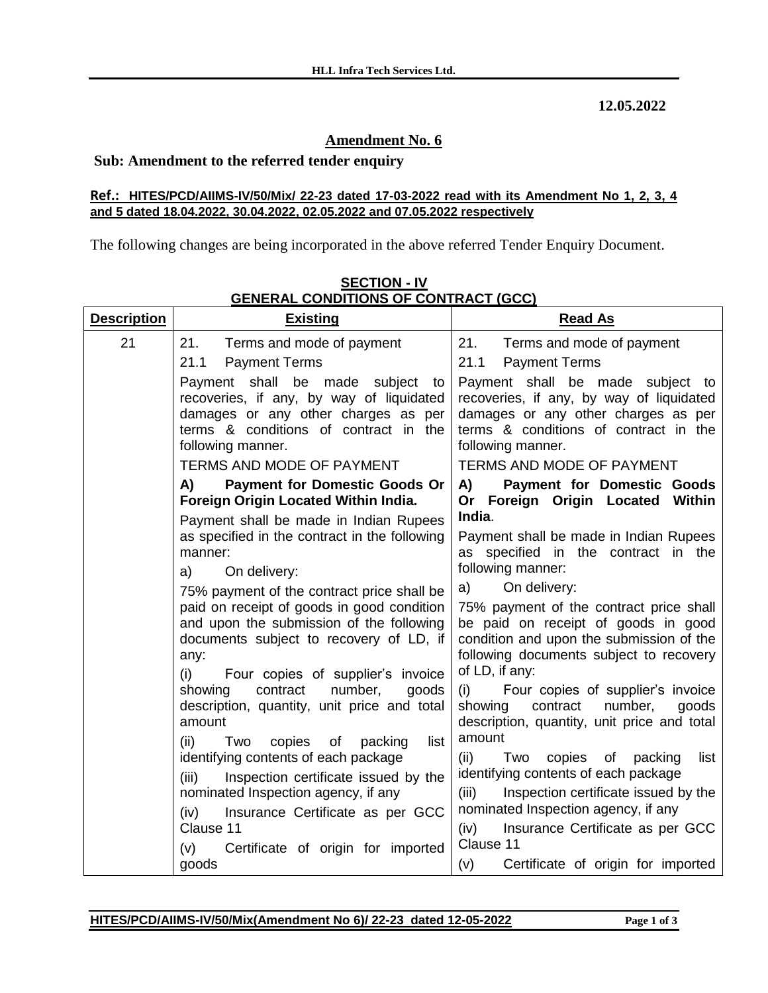**12.05.2022**

## **Amendment No. 6**

## **Sub: Amendment to the referred tender enquiry**

## **Ref.: HITES/PCD/AIIMS-IV/50/Mix/ 22-23 dated 17-03-2022 read with its Amendment No 1, 2, 3, 4 and 5 dated 18.04.2022, 30.04.2022, 02.05.2022 and 07.05.2022 respectively**

The following changes are being incorporated in the above referred Tender Enquiry Document.

| <b>Description</b> | <b>Existing</b>                                                                                                                                                                                                                                                                                                                                                                                                                                                     | <b>Read As</b>                                                                                                                                                                                                                                                                                                                                                                                                                                                      |
|--------------------|---------------------------------------------------------------------------------------------------------------------------------------------------------------------------------------------------------------------------------------------------------------------------------------------------------------------------------------------------------------------------------------------------------------------------------------------------------------------|---------------------------------------------------------------------------------------------------------------------------------------------------------------------------------------------------------------------------------------------------------------------------------------------------------------------------------------------------------------------------------------------------------------------------------------------------------------------|
| 21                 | Terms and mode of payment<br>21.<br><b>Payment Terms</b><br>21.1                                                                                                                                                                                                                                                                                                                                                                                                    | 21.<br>Terms and mode of payment<br><b>Payment Terms</b><br>21.1                                                                                                                                                                                                                                                                                                                                                                                                    |
|                    | Payment shall be made subject to<br>recoveries, if any, by way of liquidated<br>damages or any other charges as per<br>terms & conditions of contract in the<br>following manner.                                                                                                                                                                                                                                                                                   | Payment shall be made subject to<br>recoveries, if any, by way of liquidated<br>damages or any other charges as per<br>terms & conditions of contract in the<br>following manner.                                                                                                                                                                                                                                                                                   |
|                    | <b>TERMS AND MODE OF PAYMENT</b>                                                                                                                                                                                                                                                                                                                                                                                                                                    | <b>TERMS AND MODE OF PAYMENT</b>                                                                                                                                                                                                                                                                                                                                                                                                                                    |
|                    | A)<br><b>Payment for Domestic Goods Or</b><br>Foreign Origin Located Within India.                                                                                                                                                                                                                                                                                                                                                                                  | A)<br><b>Payment for Domestic Goods</b><br>Or Foreign Origin Located Within                                                                                                                                                                                                                                                                                                                                                                                         |
|                    | Payment shall be made in Indian Rupees<br>as specified in the contract in the following<br>manner:<br>On delivery:<br>a)<br>75% payment of the contract price shall be<br>paid on receipt of goods in good condition<br>and upon the submission of the following<br>documents subject to recovery of LD, if<br>any:<br>(i)<br>Four copies of supplier's invoice<br>contract<br>number,<br>showing<br>goods<br>description, quantity, unit price and total<br>amount | India.<br>Payment shall be made in Indian Rupees<br>as specified in the contract in the<br>following manner:<br>On delivery:<br>a)<br>75% payment of the contract price shall<br>be paid on receipt of goods in good<br>condition and upon the submission of the<br>following documents subject to recovery<br>of LD, if any:<br>Four copies of supplier's invoice<br>(i)<br>showing<br>contract<br>number,<br>goods<br>description, quantity, unit price and total |
|                    | list<br>(ii)<br>Two<br>copies<br>of<br>packing<br>identifying contents of each package<br>Inspection certificate issued by the<br>(iii)<br>nominated Inspection agency, if any<br>Insurance Certificate as per GCC<br>(iv)<br>Clause 11<br>Certificate of origin for imported<br>(v)<br>goods                                                                                                                                                                       | amount<br>(ii)<br>Two<br>copies<br>of packing<br>list<br>identifying contents of each package<br>Inspection certificate issued by the<br>(iii)<br>nominated Inspection agency, if any<br>Insurance Certificate as per GCC<br>(iv)<br>Clause 11<br>(v)<br>Certificate of origin for imported                                                                                                                                                                         |

**SECTION - IV GENERAL CONDITIONS OF CONTRACT (GCC)**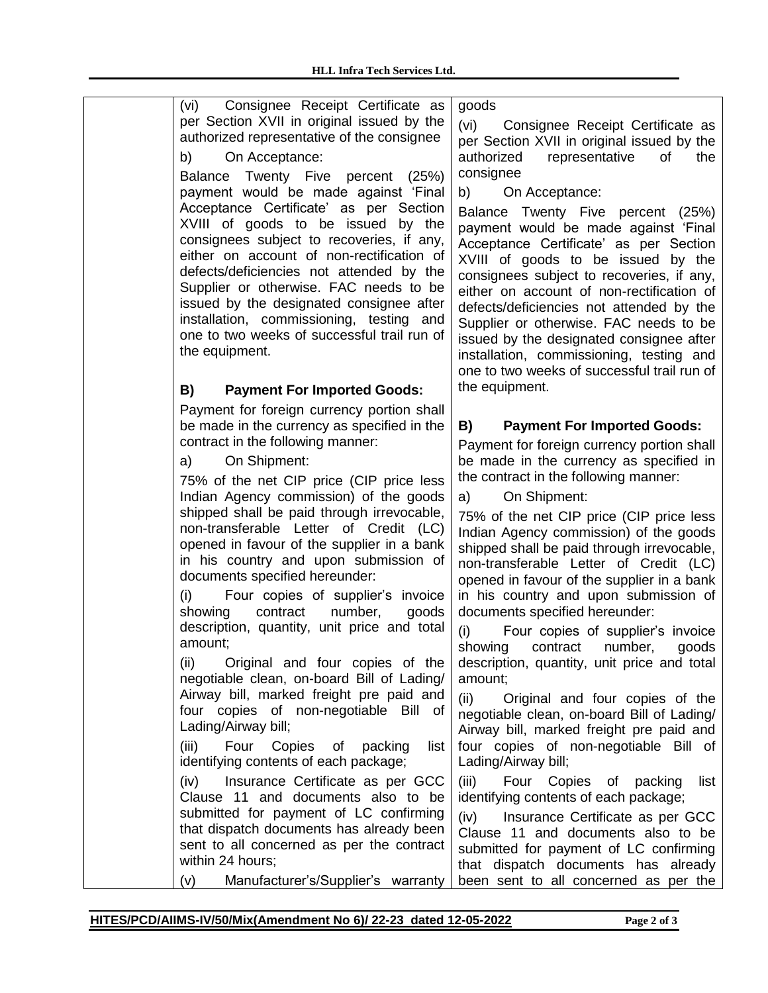| (vi) Consignee Receipt Certificate as<br>per Section XVII in original issued by the<br>authorized representative of the consignee<br>b)<br>On Acceptance:<br>Balance Twenty Five percent<br>(25%)<br>payment would be made against 'Final                                                                                                                                                                             | goods<br>(vi)<br>Consignee Receipt Certificate as<br>per Section XVII in original issued by the<br>authorized<br>representative<br>of<br>the<br>consignee<br>b)<br>On Acceptance:                                                                                                                                                                                                                                                                                                                  |
|-----------------------------------------------------------------------------------------------------------------------------------------------------------------------------------------------------------------------------------------------------------------------------------------------------------------------------------------------------------------------------------------------------------------------|----------------------------------------------------------------------------------------------------------------------------------------------------------------------------------------------------------------------------------------------------------------------------------------------------------------------------------------------------------------------------------------------------------------------------------------------------------------------------------------------------|
| Acceptance Certificate' as per Section<br>XVIII of goods to be issued by the<br>consignees subject to recoveries, if any,<br>either on account of non-rectification of<br>defects/deficiencies not attended by the<br>Supplier or otherwise. FAC needs to be<br>issued by the designated consignee after<br>installation, commissioning, testing and<br>one to two weeks of successful trail run of<br>the equipment. | Balance Twenty Five percent (25%)<br>payment would be made against 'Final<br>Acceptance Certificate' as per Section<br>XVIII of goods to be issued by the<br>consignees subject to recoveries, if any,<br>either on account of non-rectification of<br>defects/deficiencies not attended by the<br>Supplier or otherwise. FAC needs to be<br>issued by the designated consignee after<br>installation, commissioning, testing and<br>one to two weeks of successful trail run of<br>the equipment. |
| B)<br><b>Payment For Imported Goods:</b>                                                                                                                                                                                                                                                                                                                                                                              |                                                                                                                                                                                                                                                                                                                                                                                                                                                                                                    |
| Payment for foreign currency portion shall<br>be made in the currency as specified in the                                                                                                                                                                                                                                                                                                                             | B)<br><b>Payment For Imported Goods:</b>                                                                                                                                                                                                                                                                                                                                                                                                                                                           |
| contract in the following manner:<br>On Shipment:<br>a)<br>75% of the net CIP price (CIP price less<br>Indian Agency commission) of the goods                                                                                                                                                                                                                                                                         | Payment for foreign currency portion shall<br>be made in the currency as specified in<br>the contract in the following manner:<br>On Shipment:<br>a)                                                                                                                                                                                                                                                                                                                                               |
| shipped shall be paid through irrevocable,<br>non-transferable Letter of Credit (LC)<br>opened in favour of the supplier in a bank<br>in his country and upon submission of<br>documents specified hereunder:<br>Four copies of supplier's invoice<br>(i)<br>contract<br>showing<br>number,<br>goods                                                                                                                  | 75% of the net CIP price (CIP price less<br>Indian Agency commission) of the goods<br>shipped shall be paid through irrevocable,<br>non-transferable Letter of Credit (LC)<br>opened in favour of the supplier in a bank<br>in his country and upon submission of<br>documents specified hereunder:                                                                                                                                                                                                |
| description, quantity, unit price and total<br>amount;<br>Original and four copies of the<br>(ii)                                                                                                                                                                                                                                                                                                                     | Four copies of supplier's invoice<br>(i)<br>showing<br>contract<br>number,<br>goods<br>description, quantity, unit price and total                                                                                                                                                                                                                                                                                                                                                                 |
| negotiable clean, on-board Bill of Lading/<br>Airway bill, marked freight pre paid and<br>four copies of non-negotiable Bill of<br>Lading/Airway bill;<br>Four Copies of packing<br>(iii)<br>list                                                                                                                                                                                                                     | amount;<br>(ii)<br>Original and four copies of the<br>negotiable clean, on-board Bill of Lading/<br>Airway bill, marked freight pre paid and<br>four copies of non-negotiable Bill of                                                                                                                                                                                                                                                                                                              |
| identifying contents of each package;<br>Insurance Certificate as per GCC<br>(iv)                                                                                                                                                                                                                                                                                                                                     | Lading/Airway bill;<br>Four<br>Copies of packing<br>(iii)<br>list                                                                                                                                                                                                                                                                                                                                                                                                                                  |
| Clause 11 and documents also to be<br>submitted for payment of LC confirming<br>that dispatch documents has already been<br>sent to all concerned as per the contract<br>within 24 hours;                                                                                                                                                                                                                             | identifying contents of each package;<br>(iv)<br>Insurance Certificate as per GCC<br>Clause 11 and documents also to be<br>submitted for payment of LC confirming<br>that dispatch documents has already                                                                                                                                                                                                                                                                                           |
| Manufacturer's/Supplier's warranty<br>(v)                                                                                                                                                                                                                                                                                                                                                                             | been sent to all concerned as per the                                                                                                                                                                                                                                                                                                                                                                                                                                                              |